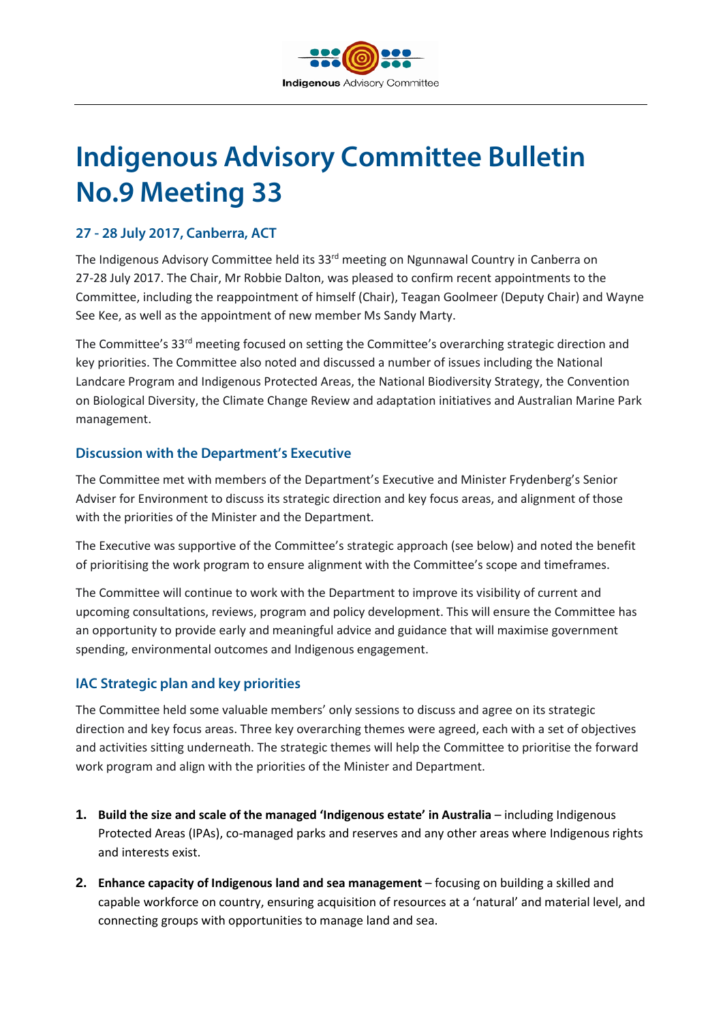

# **Indigenous Advisory Committee Bulletin No.9 Meeting 33**

# **27 - 28 July 2017, Canberra, ACT**

The Indigenous Advisory Committee held its 33<sup>rd</sup> meeting on Ngunnawal Country in Canberra on 27-28 July 2017. The Chair, Mr Robbie Dalton, was pleased to confirm recent appointments to the Committee, including the reappointment of himself (Chair), Teagan Goolmeer (Deputy Chair) and Wayne See Kee, as well as the appointment of new member Ms Sandy Marty.

The Committee's 33<sup>rd</sup> meeting focused on setting the Committee's overarching strategic direction and key priorities. The Committee also noted and discussed a number of issues including the National Landcare Program and Indigenous Protected Areas, the National Biodiversity Strategy, the Convention on Biological Diversity, the Climate Change Review and adaptation initiatives and Australian Marine Park management.

## **Discussion with the Department's Executive**

The Committee met with members of the Department's Executive and Minister Frydenberg's Senior Adviser for Environment to discuss its strategic direction and key focus areas, and alignment of those with the priorities of the Minister and the Department.

The Executive was supportive of the Committee's strategic approach (see below) and noted the benefit of prioritising the work program to ensure alignment with the Committee's scope and timeframes.

The Committee will continue to work with the Department to improve its visibility of current and upcoming consultations, reviews, program and policy development. This will ensure the Committee has an opportunity to provide early and meaningful advice and guidance that will maximise government spending, environmental outcomes and Indigenous engagement.

## **IAC Strategic plan and key priorities**

The Committee held some valuable members' only sessions to discuss and agree on its strategic direction and key focus areas. Three key overarching themes were agreed, each with a set of objectives and activities sitting underneath. The strategic themes will help the Committee to prioritise the forward work program and align with the priorities of the Minister and Department.

- **1. Build the size and scale of the managed 'Indigenous estate' in Australia** including Indigenous Protected Areas (IPAs), co-managed parks and reserves and any other areas where Indigenous rights and interests exist.
- **2. Enhance capacity of Indigenous land and sea management** focusing on building a skilled and capable workforce on country, ensuring acquisition of resources at a 'natural' and material level, and connecting groups with opportunities to manage land and sea.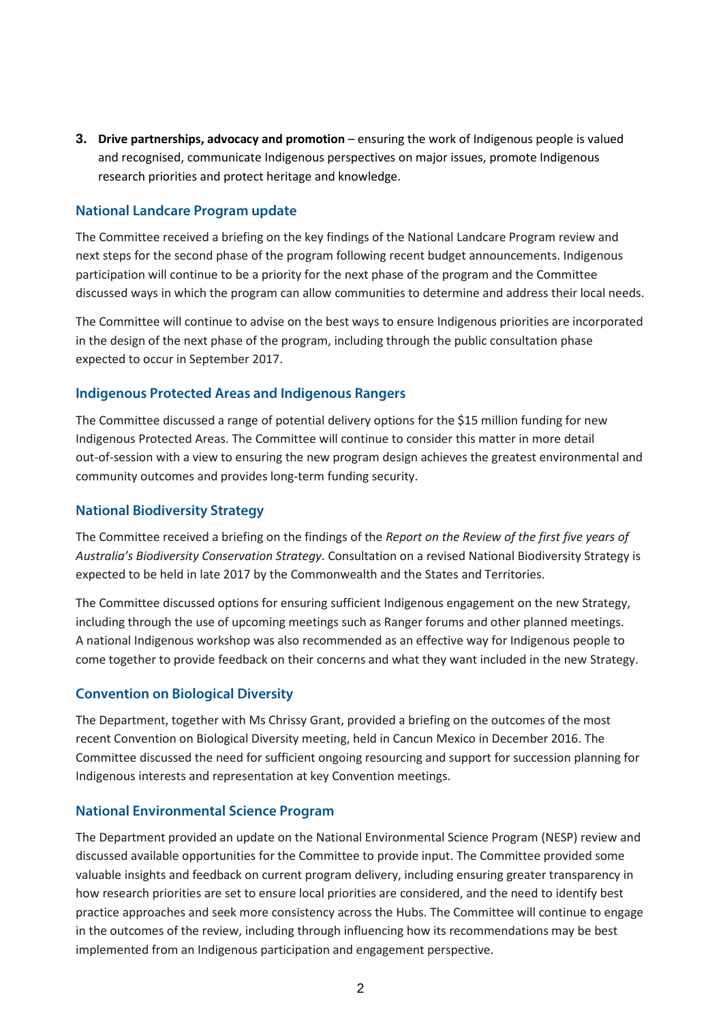**3. Drive partnerships, advocacy and promotion** – ensuring the work of Indigenous people is valued and recognised, communicate Indigenous perspectives on major issues, promote Indigenous research priorities and protect heritage and knowledge.

## **National Landcare Program update**

The Committee received a briefing on the key findings of the National Landcare Program review and next steps for the second phase of the program following recent budget announcements. Indigenous participation will continue to be a priority for the next phase of the program and the Committee discussed ways in which the program can allow communities to determine and address their local needs.

The Committee will continue to advise on the best ways to ensure Indigenous priorities are incorporated in the design of the next phase of the program, including through the public consultation phase expected to occur in September 2017.

#### **Indigenous Protected Areas and Indigenous Rangers**

The Committee discussed a range of potential delivery options for the \$15 million funding for new Indigenous Protected Areas. The Committee will continue to consider this matter in more detail out-of-session with a view to ensuring the new program design achieves the greatest environmental and community outcomes and provides long-term funding security.

#### **National Biodiversity Strategy**

The Committee received a briefing on the findings of the *Report on the Review of the first five years of Australia's Biodiversity Conservation Strategy*. Consultation on a revised National Biodiversity Strategy is expected to be held in late 2017 by the Commonwealth and the States and Territories.

The Committee discussed options for ensuring sufficient Indigenous engagement on the new Strategy, including through the use of upcoming meetings such as Ranger forums and other planned meetings. A national Indigenous workshop was also recommended as an effective way for Indigenous people to come together to provide feedback on their concerns and what they want included in the new Strategy.

#### **Convention on Biological Diversity**

The Department, together with Ms Chrissy Grant, provided a briefing on the outcomes of the most recent Convention on Biological Diversity meeting, held in Cancun Mexico in December 2016. The Committee discussed the need for sufficient ongoing resourcing and support for succession planning for Indigenous interests and representation at key Convention meetings.

#### **National Environmental Science Program**

The Department provided an update on the National Environmental Science Program (NESP) review and discussed available opportunities for the Committee to provide input. The Committee provided some valuable insights and feedback on current program delivery, including ensuring greater transparency in how research priorities are set to ensure local priorities are considered, and the need to identify best practice approaches and seek more consistency across the Hubs. The Committee will continue to engage in the outcomes of the review, including through influencing how its recommendations may be best implemented from an Indigenous participation and engagement perspective.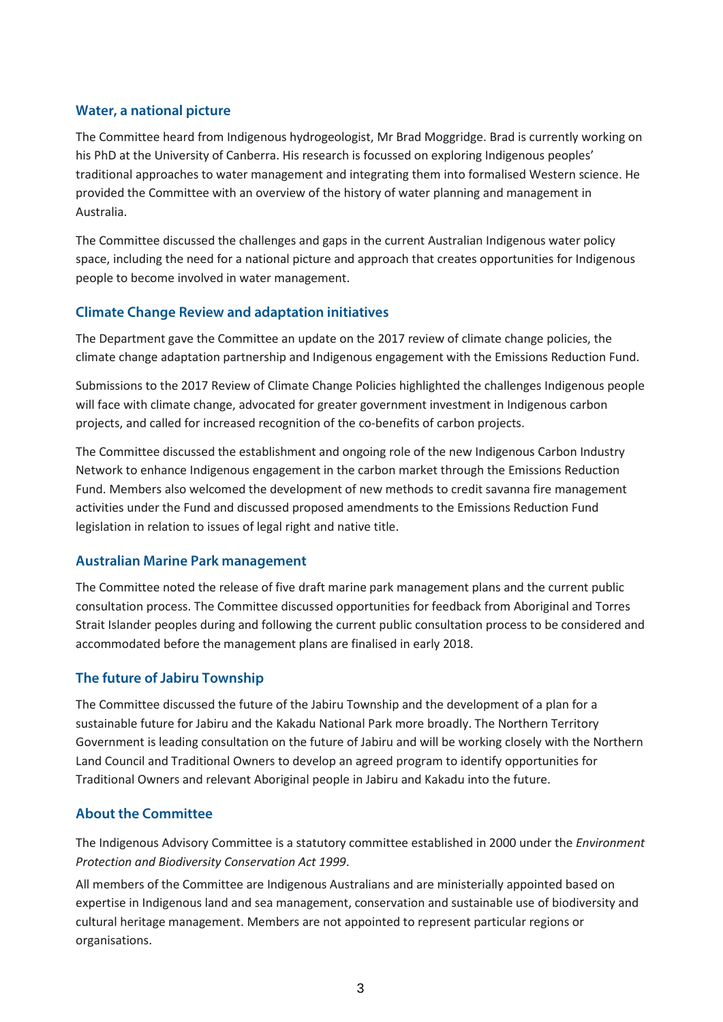## **Water, a national picture**

The Committee heard from Indigenous hydrogeologist, Mr Brad Moggridge. Brad is currently working on his PhD at the University of Canberra. His research is focussed on exploring Indigenous peoples' traditional approaches to water management and integrating them into formalised Western science. He provided the Committee with an overview of the history of water planning and management in Australia.

The Committee discussed the challenges and gaps in the current Australian Indigenous water policy space, including the need for a national picture and approach that creates opportunities for Indigenous people to become involved in water management.

# **Climate Change Review and adaptation initiatives**

The Department gave the Committee an update on the 2017 review of climate change policies, the climate change adaptation partnership and Indigenous engagement with the Emissions Reduction Fund.

Submissions to the 2017 Review of Climate Change Policies highlighted the challenges Indigenous people will face with climate change, advocated for greater government investment in Indigenous carbon projects, and called for increased recognition of the co-benefits of carbon projects.

The Committee discussed the establishment and ongoing role of the new Indigenous Carbon Industry Network to enhance Indigenous engagement in the carbon market through the Emissions Reduction Fund. Members also welcomed the development of new methods to credit savanna fire management activities under the Fund and discussed proposed amendments to the Emissions Reduction Fund legislation in relation to issues of legal right and native title.

## **Australian Marine Park management**

The Committee noted the release of five draft marine park management plans and the current public consultation process. The Committee discussed opportunities for feedback from Aboriginal and Torres Strait Islander peoples during and following the current public consultation process to be considered and accommodated before the management plans are finalised in early 2018.

## **The future of Jabiru Township**

The Committee discussed the future of the Jabiru Township and the development of a plan for a sustainable future for Jabiru and the Kakadu National Park more broadly. The Northern Territory Government is leading consultation on the future of Jabiru and will be working closely with the Northern Land Council and Traditional Owners to develop an agreed program to identify opportunities for Traditional Owners and relevant Aboriginal people in Jabiru and Kakadu into the future.

## **About the Committee**

The Indigenous Advisory Committee is a statutory committee established in 2000 under the *Environment Protection and Biodiversity Conservation Act 1999*.

All members of the Committee are Indigenous Australians and are ministerially appointed based on expertise in Indigenous land and sea management, conservation and sustainable use of biodiversity and cultural heritage management. Members are not appointed to represent particular regions or organisations.